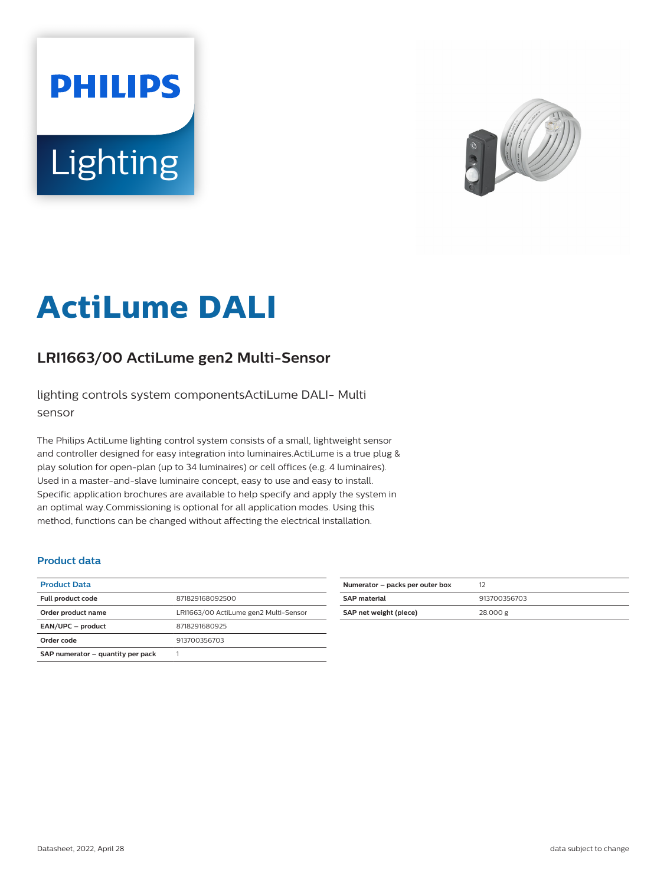# **PHILIPS** Lighting



# **ActiLume DALI**

## **LRI1663/00 ActiLume gen2 Multi-Sensor**

lighting controls system componentsActiLume DALI- Multi sensor

The Philips ActiLume lighting control system consists of a small, lightweight sensor and controller designed for easy integration into luminaires.ActiLume is a true plug & play solution for open-plan (up to 34 luminaires) or cell offices (e.g. 4 luminaires). Used in a master-and-slave luminaire concept, easy to use and easy to install. Specific application brochures are available to help specify and apply the system in an optimal way.Commissioning is optional for all application modes. Using this method, functions can be changed without affecting the electrical installation.

#### **Product data**

| <b>Product Data</b>               |                                       |
|-----------------------------------|---------------------------------------|
| Full product code                 | 871829168092500                       |
| Order product name                | LRI1663/00 ActiLume gen2 Multi-Sensor |
| EAN/UPC - product                 | 8718291680925                         |
| Order code                        | 913700356703                          |
| SAP numerator - quantity per pack |                                       |

| Numerator – packs per outer box |              |
|---------------------------------|--------------|
| <b>SAP</b> material             | 913700356703 |
| SAP net weight (piece)          | 28.000 g     |